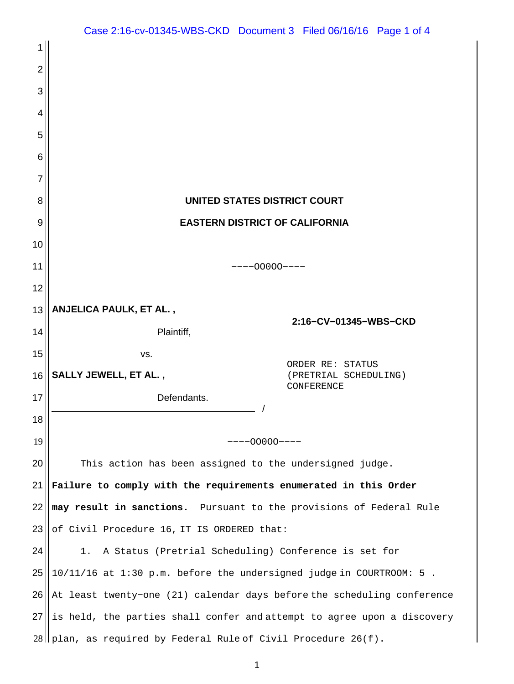| 1  |                                                                         |                                            |
|----|-------------------------------------------------------------------------|--------------------------------------------|
| 2  |                                                                         |                                            |
| 3  |                                                                         |                                            |
| 4  |                                                                         |                                            |
| 5  |                                                                         |                                            |
| 6  |                                                                         |                                            |
| 7  |                                                                         |                                            |
| 8  | UNITED STATES DISTRICT COURT                                            |                                            |
| 9  | <b>EASTERN DISTRICT OF CALIFORNIA</b>                                   |                                            |
| 10 |                                                                         |                                            |
| 11 | $---000000---$                                                          |                                            |
| 12 |                                                                         |                                            |
| 13 | ANJELICA PAULK, ET AL.,<br>2:16-CV-01345-WBS-CKD                        |                                            |
| 14 | Plaintiff,                                                              |                                            |
| 15 | VS.                                                                     | ORDER RE: STATUS                           |
| 16 | SALLY JEWELL, ET AL.,                                                   | (PRETRIAL SCHEDULING)<br><b>CONFERENCE</b> |
| 17 | Defendants.                                                             |                                            |
| 18 |                                                                         |                                            |
| 19 | $---00000---$                                                           |                                            |
| 20 | This action has been assigned to the undersigned judge.                 |                                            |
| 21 | Failure to comply with the requirements enumerated in this Order        |                                            |
| 22 | may result in sanctions. Pursuant to the provisions of Federal Rule     |                                            |
| 23 | of Civil Procedure 16, IT IS ORDERED that:                              |                                            |
| 24 | 1. A Status (Pretrial Scheduling) Conference is set for                 |                                            |
| 25 | 10/11/16 at 1:30 p.m. before the undersigned judge in COURTROOM: 5.     |                                            |
| 26 | At least twenty-one (21) calendar days before the scheduling conference |                                            |
| 27 | is held, the parties shall confer and attempt to agree upon a discovery |                                            |
|    | $28$    plan, as required by Federal Rule of Civil Procedure 26(f).     |                                            |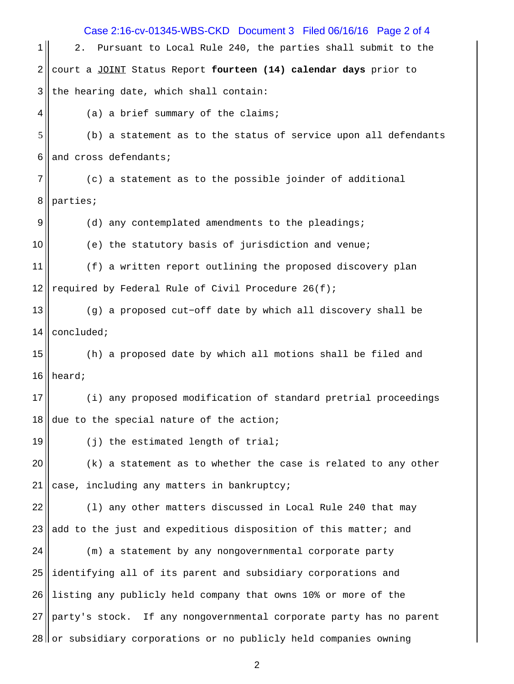| Case 2:16-cv-01345-WBS-CKD Document 3 Filed 06/16/16 Page 2 of 4 |                                                                      |  |  |
|------------------------------------------------------------------|----------------------------------------------------------------------|--|--|
| 1                                                                | Pursuant to Local Rule 240, the parties shall submit to the<br>$2$ . |  |  |
| $\overline{2}$                                                   | court a JOINT Status Report fourteen (14) calendar days prior to     |  |  |
| 3                                                                | the hearing date, which shall contain:                               |  |  |
| 4                                                                | (a) a brief summary of the claims;                                   |  |  |
| 5                                                                | (b) a statement as to the status of service upon all defendants      |  |  |
| 6                                                                | and cross defendants;                                                |  |  |
| $\overline{7}$                                                   | (c) a statement as to the possible joinder of additional             |  |  |
| 8                                                                | parties;                                                             |  |  |
| 9                                                                | (d) any contemplated amendments to the pleadings;                    |  |  |
| 10                                                               | (e) the statutory basis of jurisdiction and venue;                   |  |  |
| 11                                                               | (f) a written report outlining the proposed discovery plan           |  |  |
| 12                                                               | required by Federal Rule of Civil Procedure 26(f);                   |  |  |
| 13                                                               | (g) a proposed cut-off date by which all discovery shall be          |  |  |
| 14                                                               | concluded;                                                           |  |  |
| 15                                                               | (h) a proposed date by which all motions shall be filed and          |  |  |
| 16                                                               | heard;                                                               |  |  |
| 17                                                               | (i) any proposed modification of standard pretrial proceedings       |  |  |
| 18                                                               | due to the special nature of the action;                             |  |  |
| 19                                                               | (j) the estimated length of trial;                                   |  |  |
| 20                                                               | (k) a statement as to whether the case is related to any other       |  |  |
| 21                                                               | case, including any matters in bankruptcy;                           |  |  |
| 22                                                               | (1) any other matters discussed in Local Rule 240 that may           |  |  |
| 23                                                               | add to the just and expeditious disposition of this matter; and      |  |  |
| 24                                                               | (m) a statement by any nongovernmental corporate party               |  |  |
| 25                                                               | identifying all of its parent and subsidiary corporations and        |  |  |
| 26                                                               | listing any publicly held company that owns 10% or more of the       |  |  |
| 27                                                               | party's stock. If any nongovernmental corporate party has no parent  |  |  |
| 28                                                               | or subsidiary corporations or no publicly held companies owning      |  |  |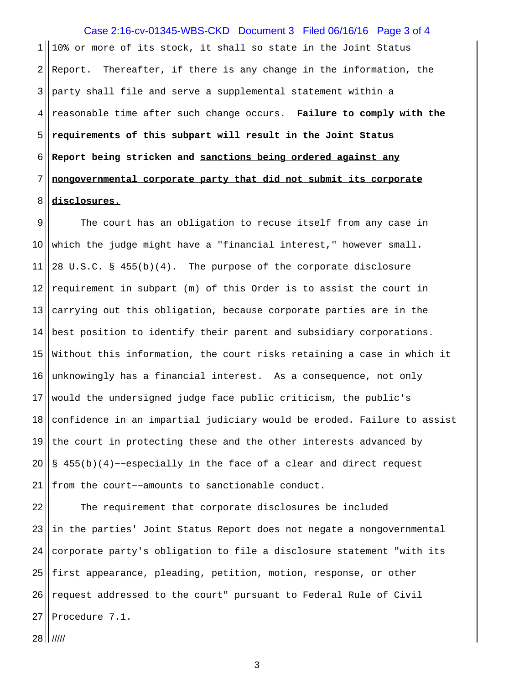$1 \parallel 10$ % or more of its stock, it shall so state in the Joint Status  $2 \parallel$  Report. Thereafter, if there is any change in the information, the party shall file and serve a supplemental statement within a reasonable time after such change occurs. **Failure to comply with the requirements of this subpart will result in the Joint Status Report being stricken and sanctions being ordered against any nongovernmental corporate party that did not submit its corporate disclosures.** Case 2:16-cv-01345-WBS-CKD Document 3 Filed 06/16/16 Page 3 of 4

9 The court has an obligation to recuse itself from any case in which the judge might have a "financial interest," however small. 11 | 28 U.S.C. § 455(b)(4). The purpose of the corporate disclosure  $\parallel$  requirement in subpart (m) of this Order is to assist the court in carrying out this obligation, because corporate parties are in the 14 best position to identify their parent and subsidiary corporations. Without this information, the court risks retaining a case in which it 16 unknowingly has a financial interest. As a consequence, not only would the undersigned judge face public criticism, the public's confidence in an impartial judiciary would be eroded. Failure to assist  $\parallel$  the court in protecting these and the other interests advanced by 20 S 455(b)(4) – −especially in the face of a clear and direct request 21 from the court--amounts to sanctionable conduct.

22 The requirement that corporate disclosures be included in the parties' Joint Status Report does not negate a nongovernmental corporate party's obligation to file a disclosure statement "with its first appearance, pleading, petition, motion, response, or other 26 request addressed to the court" pursuant to Federal Rule of Civil Procedure  $7.1$ .

|  $11111$